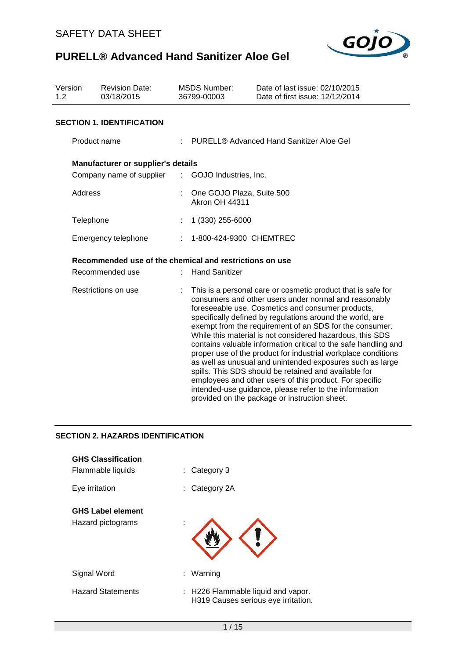

| Version<br>1.2 | <b>Revision Date:</b><br>03/18/2015                     | <b>MSDS Number:</b><br>36799-00003                 | Date of last issue: 02/10/2015<br>Date of first issue: 12/12/2014                                                                                                                                                                                                                                                                                                                                                                                                                                                                                                                                                                                                                                                                                                                               |
|----------------|---------------------------------------------------------|----------------------------------------------------|-------------------------------------------------------------------------------------------------------------------------------------------------------------------------------------------------------------------------------------------------------------------------------------------------------------------------------------------------------------------------------------------------------------------------------------------------------------------------------------------------------------------------------------------------------------------------------------------------------------------------------------------------------------------------------------------------------------------------------------------------------------------------------------------------|
|                | <b>SECTION 1. IDENTIFICATION</b>                        |                                                    |                                                                                                                                                                                                                                                                                                                                                                                                                                                                                                                                                                                                                                                                                                                                                                                                 |
|                | Product name                                            |                                                    | <b>PURELL® Advanced Hand Sanitizer Aloe Gel</b>                                                                                                                                                                                                                                                                                                                                                                                                                                                                                                                                                                                                                                                                                                                                                 |
|                | Manufacturer or supplier's details                      |                                                    |                                                                                                                                                                                                                                                                                                                                                                                                                                                                                                                                                                                                                                                                                                                                                                                                 |
|                | Company name of supplier                                | : GOJO Industries, Inc.                            |                                                                                                                                                                                                                                                                                                                                                                                                                                                                                                                                                                                                                                                                                                                                                                                                 |
|                | Address                                                 | One GOJO Plaza, Suite 500<br><b>Akron OH 44311</b> |                                                                                                                                                                                                                                                                                                                                                                                                                                                                                                                                                                                                                                                                                                                                                                                                 |
|                | Telephone                                               | 1 (330) 255-6000                                   |                                                                                                                                                                                                                                                                                                                                                                                                                                                                                                                                                                                                                                                                                                                                                                                                 |
|                | Emergency telephone                                     | 1-800-424-9300 CHEMTREC                            |                                                                                                                                                                                                                                                                                                                                                                                                                                                                                                                                                                                                                                                                                                                                                                                                 |
|                | Recommended use of the chemical and restrictions on use |                                                    |                                                                                                                                                                                                                                                                                                                                                                                                                                                                                                                                                                                                                                                                                                                                                                                                 |
|                | Recommended use                                         | <b>Hand Sanitizer</b>                              |                                                                                                                                                                                                                                                                                                                                                                                                                                                                                                                                                                                                                                                                                                                                                                                                 |
|                | Restrictions on use                                     |                                                    | This is a personal care or cosmetic product that is safe for<br>consumers and other users under normal and reasonably<br>foreseeable use. Cosmetics and consumer products,<br>specifically defined by regulations around the world, are<br>exempt from the requirement of an SDS for the consumer.<br>While this material is not considered hazardous, this SDS<br>contains valuable information critical to the safe handling and<br>proper use of the product for industrial workplace conditions<br>as well as unusual and unintended exposures such as large<br>spills. This SDS should be retained and available for<br>employees and other users of this product. For specific<br>intended-use guidance, please refer to the information<br>provided on the package or instruction sheet. |

# **SECTION 2. HAZARDS IDENTIFICATION**

| <b>GHS Classification</b><br>Flammable liquids | Category 3<br>t.                                                          |
|------------------------------------------------|---------------------------------------------------------------------------|
| Eye irritation                                 | Category 2A<br>t.                                                         |
| <b>GHS Label element</b><br>Hazard pictograms  |                                                                           |
| Signal Word                                    | Warning<br>÷.                                                             |
| <b>Hazard Statements</b>                       | : H226 Flammable liquid and vapor.<br>H319 Causes serious eye irritation. |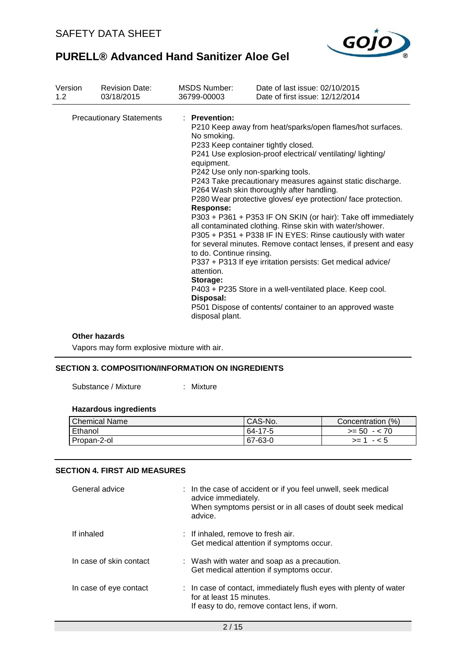

| Version | <b>Revision Date:</b>           | <b>MSDS Number:</b>                                                                                                                                  | Date of last issue: 02/10/2015                                                                                                                                                                                                                                                                                                                                                                                                                                                                                                                                                                                                                                                                                                                                                                                                       |
|---------|---------------------------------|------------------------------------------------------------------------------------------------------------------------------------------------------|--------------------------------------------------------------------------------------------------------------------------------------------------------------------------------------------------------------------------------------------------------------------------------------------------------------------------------------------------------------------------------------------------------------------------------------------------------------------------------------------------------------------------------------------------------------------------------------------------------------------------------------------------------------------------------------------------------------------------------------------------------------------------------------------------------------------------------------|
| 1.2     | 03/18/2015                      | 36799-00003                                                                                                                                          | Date of first issue: 12/12/2014                                                                                                                                                                                                                                                                                                                                                                                                                                                                                                                                                                                                                                                                                                                                                                                                      |
|         | <b>Precautionary Statements</b> | : Prevention:<br>No smoking.<br>equipment.<br><b>Response:</b><br>to do. Continue rinsing.<br>attention.<br>Storage:<br>Disposal:<br>disposal plant. | P210 Keep away from heat/sparks/open flames/hot surfaces.<br>P233 Keep container tightly closed.<br>P241 Use explosion-proof electrical/ ventilating/lighting/<br>P242 Use only non-sparking tools.<br>P243 Take precautionary measures against static discharge.<br>P264 Wash skin thoroughly after handling.<br>P280 Wear protective gloves/ eye protection/ face protection.<br>P303 + P361 + P353 IF ON SKIN (or hair): Take off immediately<br>all contaminated clothing. Rinse skin with water/shower.<br>P305 + P351 + P338 IF IN EYES: Rinse cautiously with water<br>for several minutes. Remove contact lenses, if present and easy<br>P337 + P313 If eye irritation persists: Get medical advice/<br>P403 + P235 Store in a well-ventilated place. Keep cool.<br>P501 Dispose of contents/ container to an approved waste |

#### **Other hazards**

Vapors may form explosive mixture with air.

# **SECTION 3. COMPOSITION/INFORMATION ON INGREDIENTS**

Substance / Mixture : Mixture

## **Hazardous ingredients**

| l Chemical Name | CAS-No. | Concentration (%) |
|-----------------|---------|-------------------|
| Ethanol         | 64-17-5 | $>= 50 - 70$      |
| Propan-2-ol     | 67-63-0 | $>= 1 - 5$        |

## **SECTION 4. FIRST AID MEASURES**

| General advice          | : In the case of accident or if you feel unwell, seek medical<br>advice immediately.<br>When symptoms persist or in all cases of doubt seek medical<br>advice. |
|-------------------------|----------------------------------------------------------------------------------------------------------------------------------------------------------------|
| If inhaled              | : If inhaled, remove to fresh air.<br>Get medical attention if symptoms occur.                                                                                 |
| In case of skin contact | : Wash with water and soap as a precaution.<br>Get medical attention if symptoms occur.                                                                        |
| In case of eye contact  | : In case of contact, immediately flush eyes with plenty of water<br>for at least 15 minutes.<br>If easy to do, remove contact lens, if worn.                  |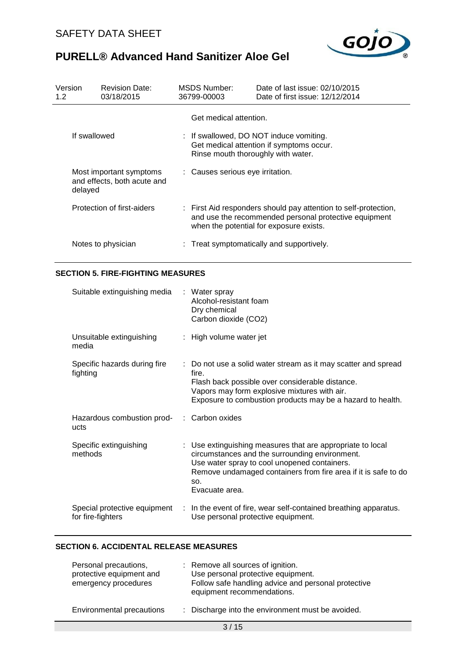

| Version<br>1.2 <sub>2</sub> |              | <b>Revision Date:</b><br>03/18/2015                    |                                  | MSDS Number:<br>36799-00003                                  | Date of last issue: 02/10/2015<br>Date of first issue: 12/12/2014                                                                                                   |
|-----------------------------|--------------|--------------------------------------------------------|----------------------------------|--------------------------------------------------------------|---------------------------------------------------------------------------------------------------------------------------------------------------------------------|
|                             | If swallowed |                                                        |                                  | Get medical attention.<br>Rinse mouth thoroughly with water. | : If swallowed, DO NOT induce vomiting.<br>Get medical attention if symptoms occur.                                                                                 |
|                             | delayed      | Most important symptoms<br>and effects, both acute and | : Causes serious eye irritation. |                                                              |                                                                                                                                                                     |
|                             |              | Protection of first-aiders                             |                                  |                                                              | : First Aid responders should pay attention to self-protection,<br>and use the recommended personal protective equipment<br>when the potential for exposure exists. |
|                             |              | Notes to physician                                     |                                  |                                                              | : Treat symptomatically and supportively.                                                                                                                           |

# **SECTION 5. FIRE-FIGHTING MEASURES**

| Suitable extinguishing media : Water spray         | Alcohol-resistant foam<br>Dry chemical<br>Carbon dioxide (CO2)                                                                                                                                                                                          |
|----------------------------------------------------|---------------------------------------------------------------------------------------------------------------------------------------------------------------------------------------------------------------------------------------------------------|
| Unsuitable extinguishing<br>media                  | : High volume water jet                                                                                                                                                                                                                                 |
| Specific hazards during fire<br>fighting           | : Do not use a solid water stream as it may scatter and spread<br>fire.<br>Flash back possible over considerable distance.<br>Vapors may form explosive mixtures with air.<br>Exposure to combustion products may be a hazard to health.                |
| Hazardous combustion prod- : Carbon oxides<br>ucts |                                                                                                                                                                                                                                                         |
| Specific extinguishing<br>methods                  | : Use extinguishing measures that are appropriate to local<br>circumstances and the surrounding environment.<br>Use water spray to cool unopened containers.<br>Remove undamaged containers from fire area if it is safe to do<br>SO.<br>Evacuate area. |
| Special protective equipment<br>for fire-fighters  | : In the event of fire, wear self-contained breathing apparatus.<br>Use personal protective equipment.                                                                                                                                                  |

## **SECTION 6. ACCIDENTAL RELEASE MEASURES**

| Personal precautions,<br>protective equipment and<br>emergency procedures | : Remove all sources of ignition.<br>Use personal protective equipment.<br>Follow safe handling advice and personal protective<br>equipment recommendations. |
|---------------------------------------------------------------------------|--------------------------------------------------------------------------------------------------------------------------------------------------------------|
| Environmental precautions                                                 | : Discharge into the environment must be avoided.                                                                                                            |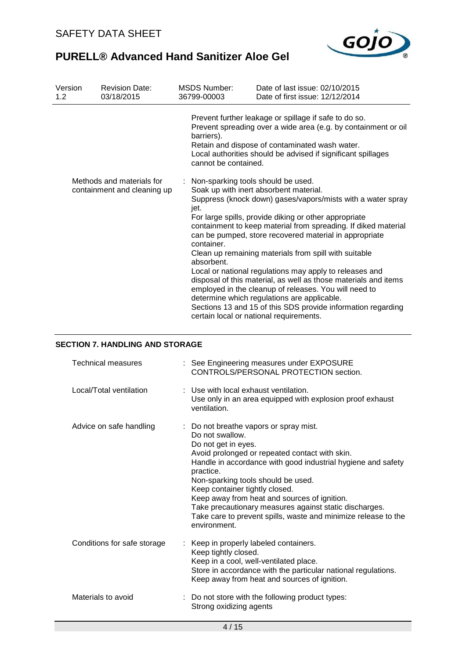

| Version<br>1.2 | <b>Revision Date:</b><br>03/18/2015                      | <b>MSDS Number:</b><br>36799-00003                                     | Date of last issue: 02/10/2015<br>Date of first issue: 12/12/2014                                                                                                                                                                                                                                                                                                                                                                                                                                                                                                                                                                                                                                    |
|----------------|----------------------------------------------------------|------------------------------------------------------------------------|------------------------------------------------------------------------------------------------------------------------------------------------------------------------------------------------------------------------------------------------------------------------------------------------------------------------------------------------------------------------------------------------------------------------------------------------------------------------------------------------------------------------------------------------------------------------------------------------------------------------------------------------------------------------------------------------------|
|                |                                                          | barriers).<br>cannot be contained.                                     | Prevent further leakage or spillage if safe to do so.<br>Prevent spreading over a wide area (e.g. by containment or oil<br>Retain and dispose of contaminated wash water.<br>Local authorities should be advised if significant spillages                                                                                                                                                                                                                                                                                                                                                                                                                                                            |
|                | Methods and materials for<br>containment and cleaning up | Non-sparking tools should be used.<br>jet.<br>container.<br>absorbent. | Soak up with inert absorbent material.<br>Suppress (knock down) gases/vapors/mists with a water spray<br>For large spills, provide diking or other appropriate<br>containment to keep material from spreading. If diked material<br>can be pumped, store recovered material in appropriate<br>Clean up remaining materials from spill with suitable<br>Local or national regulations may apply to releases and<br>disposal of this material, as well as those materials and items<br>employed in the cleanup of releases. You will need to<br>determine which regulations are applicable.<br>Sections 13 and 15 of this SDS provide information regarding<br>certain local or national requirements. |

## **SECTION 7. HANDLING AND STORAGE**

| <b>Technical measures</b>   | : See Engineering measures under EXPOSURE<br>CONTROLS/PERSONAL PROTECTION section.                                                                                                                                                                                                                                                                                                                                                                                                  |
|-----------------------------|-------------------------------------------------------------------------------------------------------------------------------------------------------------------------------------------------------------------------------------------------------------------------------------------------------------------------------------------------------------------------------------------------------------------------------------------------------------------------------------|
| Local/Total ventilation     | : Use with local exhaust ventilation.<br>Use only in an area equipped with explosion proof exhaust<br>ventilation.                                                                                                                                                                                                                                                                                                                                                                  |
| Advice on safe handling     | : Do not breathe vapors or spray mist.<br>Do not swallow.<br>Do not get in eyes.<br>Avoid prolonged or repeated contact with skin.<br>Handle in accordance with good industrial hygiene and safety<br>practice.<br>Non-sparking tools should be used.<br>Keep container tightly closed.<br>Keep away from heat and sources of ignition.<br>Take precautionary measures against static discharges.<br>Take care to prevent spills, waste and minimize release to the<br>environment. |
| Conditions for safe storage | Keep in properly labeled containers.<br>Keep tightly closed.<br>Keep in a cool, well-ventilated place.<br>Store in accordance with the particular national regulations.<br>Keep away from heat and sources of ignition.                                                                                                                                                                                                                                                             |
| Materials to avoid          | : Do not store with the following product types:<br>Strong oxidizing agents                                                                                                                                                                                                                                                                                                                                                                                                         |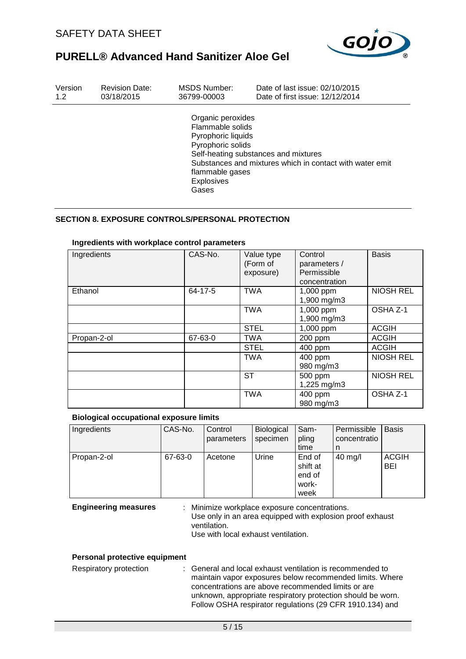

| Version | <b>Revision Date:</b> | MSDS Number:                                                                                                                      | Date of last issue: 02/10/2015                                                                   |
|---------|-----------------------|-----------------------------------------------------------------------------------------------------------------------------------|--------------------------------------------------------------------------------------------------|
| 1.2     | 03/18/2015            | 36799-00003                                                                                                                       | Date of first issue: 12/12/2014                                                                  |
|         |                       | Organic peroxides<br>Flammable solids<br>Pyrophoric liquids<br>Pyrophoric solids<br>flammable gases<br><b>Explosives</b><br>Gases | Self-heating substances and mixtures<br>Substances and mixtures which in contact with water emit |

## **SECTION 8. EXPOSURE CONTROLS/PERSONAL PROTECTION**

| Ingredients | CAS-No. | Value type<br>(Form of<br>exposure) | Control<br>parameters /<br>Permissible<br>concentration | <b>Basis</b>     |
|-------------|---------|-------------------------------------|---------------------------------------------------------|------------------|
| Ethanol     | 64-17-5 | <b>TWA</b>                          | 1,000 ppm<br>1,900 mg/m3                                | <b>NIOSH REL</b> |
|             |         | <b>TWA</b>                          | 1,000 ppm<br>1,900 mg/m3                                | OSHA Z-1         |
|             |         | <b>STEL</b>                         | 1,000 ppm                                               | <b>ACGIH</b>     |
| Propan-2-ol | 67-63-0 | <b>TWA</b>                          | 200 ppm                                                 | <b>ACGIH</b>     |
|             |         | <b>STEL</b>                         | 400 ppm                                                 | <b>ACGIH</b>     |
|             |         | <b>TWA</b>                          | 400 ppm<br>980 mg/m3                                    | <b>NIOSH REL</b> |
|             |         | ST                                  | 500 ppm<br>1,225 mg/m3                                  | <b>NIOSH REL</b> |
|             |         | <b>TWA</b>                          | 400 ppm<br>980 mg/m3                                    | OSHA Z-1         |

### **Ingredients with workplace control parameters**

### **Biological occupational exposure limits**

| Ingredients | CAS-No. | Control<br>parameters | <b>Biological</b><br>specimen | Sam-<br>pling                                 | Permissible<br>concentratio | <b>Basis</b>               |
|-------------|---------|-----------------------|-------------------------------|-----------------------------------------------|-----------------------------|----------------------------|
|             |         |                       |                               | time                                          | n                           |                            |
| Propan-2-ol | 67-63-0 | Acetone               | Urine                         | End of<br>shift at<br>end of<br>work-<br>week | $40 \text{ mg/l}$           | <b>ACGIH</b><br><b>BEI</b> |

**Engineering measures** : Minimize workplace exposure concentrations. Use only in an area equipped with explosion proof exhaust ventilation. Use with local exhaust ventilation.

#### **Personal protective equipment**

Respiratory protection : General and local exhaust ventilation is recommended to maintain vapor exposures below recommended limits. Where concentrations are above recommended limits or are unknown, appropriate respiratory protection should be worn. Follow OSHA respirator regulations (29 CFR 1910.134) and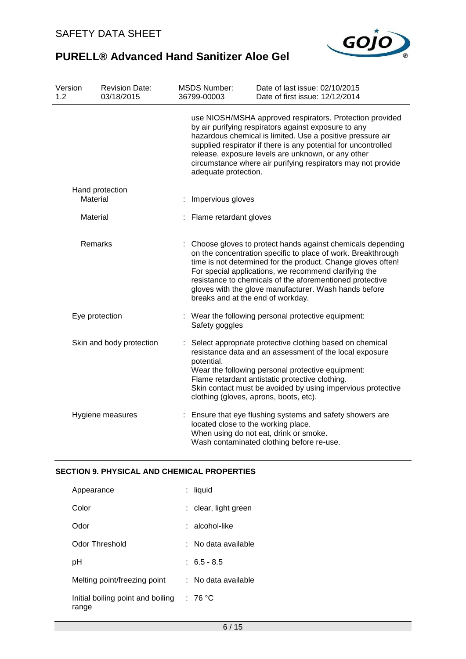

| Version<br>1.2 <sub>1</sub> |          | <b>Revision Date:</b><br>03/18/2015 | <b>MSDS Number:</b><br>36799-00003                   | Date of last issue: 02/10/2015<br>Date of first issue: 12/12/2014                                                                                                                                                                                                                                                                                                        |
|-----------------------------|----------|-------------------------------------|------------------------------------------------------|--------------------------------------------------------------------------------------------------------------------------------------------------------------------------------------------------------------------------------------------------------------------------------------------------------------------------------------------------------------------------|
|                             |          |                                     | adequate protection.                                 | use NIOSH/MSHA approved respirators. Protection provided<br>by air purifying respirators against exposure to any<br>hazardous chemical is limited. Use a positive pressure air<br>supplied respirator if there is any potential for uncontrolled<br>release, exposure levels are unknown, or any other<br>circumstance where air purifying respirators may not provide   |
|                             | Material | Hand protection                     | Impervious gloves                                    |                                                                                                                                                                                                                                                                                                                                                                          |
| Material                    |          | : Flame retardant gloves            |                                                      |                                                                                                                                                                                                                                                                                                                                                                          |
|                             | Remarks  |                                     | breaks and at the end of workday.                    | Choose gloves to protect hands against chemicals depending<br>on the concentration specific to place of work. Breakthrough<br>time is not determined for the product. Change gloves often!<br>For special applications, we recommend clarifying the<br>resistance to chemicals of the aforementioned protective<br>gloves with the glove manufacturer. Wash hands before |
| Eye protection              |          |                                     | Safety goggles                                       | : Wear the following personal protective equipment:                                                                                                                                                                                                                                                                                                                      |
|                             |          | Skin and body protection            | potential.<br>clothing (gloves, aprons, boots, etc). | Select appropriate protective clothing based on chemical<br>resistance data and an assessment of the local exposure<br>Wear the following personal protective equipment:<br>Flame retardant antistatic protective clothing.<br>Skin contact must be avoided by using impervious protective                                                                               |
|                             |          | Hygiene measures                    | located close to the working place.                  | : Ensure that eye flushing systems and safety showers are<br>When using do not eat, drink or smoke.<br>Wash contaminated clothing before re-use.                                                                                                                                                                                                                         |

# **SECTION 9. PHYSICAL AND CHEMICAL PROPERTIES**

| Appearance                                 | liquid               |
|--------------------------------------------|----------------------|
| Color                                      | : clear, light green |
| Odor                                       | ∶ alcohol-like       |
| Odor Threshold                             | No data available    |
| рH                                         | $: 6.5 - 8.5$        |
| Melting point/freezing point               | : No data available  |
| Initial boiling point and boiling<br>range | : 76 °C              |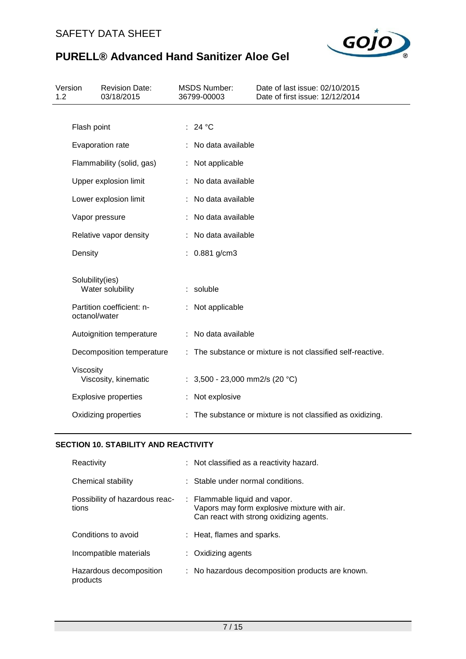

| Version<br>1.2 |                 | <b>Revision Date:</b><br>03/18/2015 | <b>MSDS Number:</b><br>36799-00003 | Date of last issue: 02/10/2015<br>Date of first issue: 12/12/2014 |
|----------------|-----------------|-------------------------------------|------------------------------------|-------------------------------------------------------------------|
|                |                 |                                     |                                    |                                                                   |
|                | Flash point     |                                     | : 24 °C                            |                                                                   |
|                |                 | Evaporation rate                    | : No data available                |                                                                   |
|                |                 | Flammability (solid, gas)           | : Not applicable                   |                                                                   |
|                |                 | Upper explosion limit               | No data available                  |                                                                   |
|                |                 | Lower explosion limit               | : No data available                |                                                                   |
|                | Vapor pressure  |                                     | : No data available                |                                                                   |
|                |                 | Relative vapor density              | : No data available                |                                                                   |
|                | Density         |                                     | : $0.881$ g/cm3                    |                                                                   |
|                | Solubility(ies) |                                     |                                    |                                                                   |
|                |                 | Water solubility                    | : soluble                          |                                                                   |
|                | octanol/water   | Partition coefficient: n-           | : Not applicable                   |                                                                   |
|                |                 | Autoignition temperature            | : No data available                |                                                                   |
|                |                 | Decomposition temperature           |                                    | : The substance or mixture is not classified self-reactive.       |
|                | Viscosity       | Viscosity, kinematic                | : $3,500 - 23,000$ mm2/s (20 °C)   |                                                                   |
|                |                 | <b>Explosive properties</b>         | : Not explosive                    |                                                                   |
|                |                 | Oxidizing properties                |                                    | : The substance or mixture is not classified as oxidizing.        |

# **SECTION 10. STABILITY AND REACTIVITY**

| Reactivity                              | : Not classified as a reactivity hazard.                                                                                |
|-----------------------------------------|-------------------------------------------------------------------------------------------------------------------------|
| Chemical stability                      | $\therefore$ Stable under normal conditions.                                                                            |
| Possibility of hazardous reac-<br>tions | : Flammable liquid and vapor.<br>Vapors may form explosive mixture with air.<br>Can react with strong oxidizing agents. |
| Conditions to avoid                     | : Heat, flames and sparks.                                                                                              |
| Incompatible materials                  | : Oxidizing agents                                                                                                      |
| Hazardous decomposition<br>products     | : No hazardous decomposition products are known.                                                                        |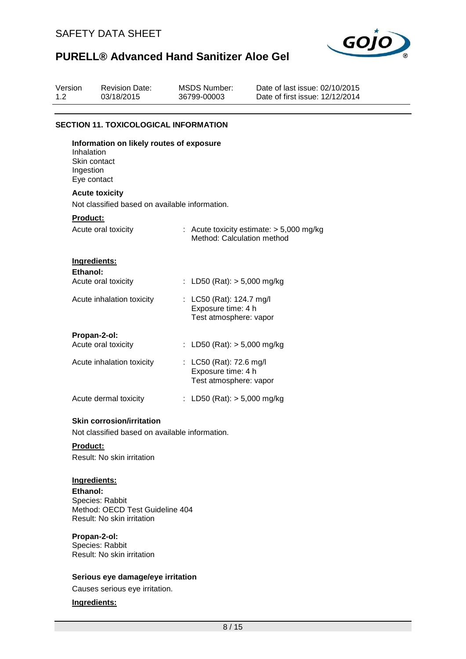

| Version<br>1.2 | <b>Revision Date:</b><br>03/18/2015                                    | <b>MSDS Number:</b><br>36799-00003                                       | Date of last issue: 02/10/2015<br>Date of first issue: 12/12/2014 |
|----------------|------------------------------------------------------------------------|--------------------------------------------------------------------------|-------------------------------------------------------------------|
|                | <b>SECTION 11. TOXICOLOGICAL INFORMATION</b>                           |                                                                          |                                                                   |
|                | Information on likely routes of exposure<br>Inhalation<br>Skin contact |                                                                          |                                                                   |
|                | Ingestion<br>Eye contact                                               |                                                                          |                                                                   |
|                | <b>Acute toxicity</b>                                                  |                                                                          |                                                                   |
|                | Not classified based on available information.                         |                                                                          |                                                                   |
|                | <b>Product:</b>                                                        |                                                                          |                                                                   |
|                | Acute oral toxicity                                                    | Method: Calculation method                                               | : Acute toxicity estimate: $> 5,000$ mg/kg                        |
|                | Ingredients:<br>Ethanol:                                               |                                                                          |                                                                   |
|                | Acute oral toxicity                                                    | : LD50 (Rat): $> 5,000$ mg/kg                                            |                                                                   |
|                | Acute inhalation toxicity                                              | : LC50 (Rat): 124.7 mg/l<br>Exposure time: 4 h<br>Test atmosphere: vapor |                                                                   |
|                | Propan-2-ol:                                                           |                                                                          |                                                                   |
|                | Acute oral toxicity                                                    | : LD50 (Rat): $> 5,000$ mg/kg                                            |                                                                   |
|                | Acute inhalation toxicity                                              | : LC50 (Rat): 72.6 mg/l<br>Exposure time: 4 h<br>Test atmosphere: vapor  |                                                                   |
|                | Acute dermal toxicity                                                  | : LD50 (Rat): $> 5,000$ mg/kg                                            |                                                                   |
|                | <b>Skin corrosion/irritation</b>                                       |                                                                          |                                                                   |
|                | Not classified based on available information.                         |                                                                          |                                                                   |
|                | Product:                                                               |                                                                          |                                                                   |
|                | Result: No skin irritation                                             |                                                                          |                                                                   |

## **Ingredients:**

**Ethanol:** Species: Rabbit Method: OECD Test Guideline 404 Result: No skin irritation

### **Propan-2-ol:**

Species: Rabbit Result: No skin irritation

### **Serious eye damage/eye irritation**

Causes serious eye irritation.

### **Ingredients:**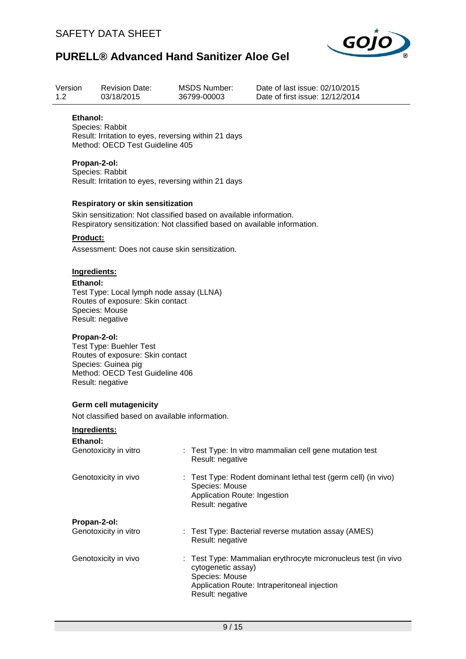

| Version<br>1.2  | <b>Revision Date:</b><br>03/18/2015                                                                                                                                                                                                                                                                                | <b>MSDS Number:</b><br>36799-00003                                                                                                              | Date of last issue: 02/10/2015<br>Date of first issue: 12/12/2014 |  |  |  |  |  |  |  |
|-----------------|--------------------------------------------------------------------------------------------------------------------------------------------------------------------------------------------------------------------------------------------------------------------------------------------------------------------|-------------------------------------------------------------------------------------------------------------------------------------------------|-------------------------------------------------------------------|--|--|--|--|--|--|--|
| Ethanol:        | Species: Rabbit<br>Method: OECD Test Guideline 405                                                                                                                                                                                                                                                                 | Result: Irritation to eyes, reversing within 21 days                                                                                            |                                                                   |  |  |  |  |  |  |  |
|                 | Propan-2-ol:<br>Species: Rabbit<br>Result: Irritation to eyes, reversing within 21 days                                                                                                                                                                                                                            |                                                                                                                                                 |                                                                   |  |  |  |  |  |  |  |
|                 | <b>Respiratory or skin sensitization</b>                                                                                                                                                                                                                                                                           | Skin sensitization: Not classified based on available information.<br>Respiratory sensitization: Not classified based on available information. |                                                                   |  |  |  |  |  |  |  |
| <b>Product:</b> | Assessment: Does not cause skin sensitization.                                                                                                                                                                                                                                                                     |                                                                                                                                                 |                                                                   |  |  |  |  |  |  |  |
|                 | Ingredients:<br>Ethanol:<br>Test Type: Local lymph node assay (LLNA)<br>Routes of exposure: Skin contact<br>Species: Mouse<br>Result: negative<br>Propan-2-ol:<br><b>Test Type: Buehler Test</b><br>Routes of exposure: Skin contact<br>Species: Guinea pig<br>Method: OECD Test Guideline 406<br>Result: negative |                                                                                                                                                 |                                                                   |  |  |  |  |  |  |  |
|                 | <b>Germ cell mutagenicity</b><br>Not classified based on available information.                                                                                                                                                                                                                                    |                                                                                                                                                 |                                                                   |  |  |  |  |  |  |  |
| Ethanol:        | Ingredients:<br>Genotoxicity in vitro                                                                                                                                                                                                                                                                              | Result: negative                                                                                                                                | : Test Type: In vitro mammalian cell gene mutation test           |  |  |  |  |  |  |  |
|                 | Genotoxicity in vivo                                                                                                                                                                                                                                                                                               | Species: Mouse<br>Application Route: Ingestion<br>Result: negative                                                                              | Test Type: Rodent dominant lethal test (germ cell) (in vivo)      |  |  |  |  |  |  |  |
|                 | Propan-2-ol:<br>Genotoxicity in vitro                                                                                                                                                                                                                                                                              | ÷<br>Result: negative                                                                                                                           | Test Type: Bacterial reverse mutation assay (AMES)                |  |  |  |  |  |  |  |
|                 | Genotoxicity in vivo                                                                                                                                                                                                                                                                                               | cytogenetic assay)<br>Species: Mouse                                                                                                            | Test Type: Mammalian erythrocyte micronucleus test (in vivo       |  |  |  |  |  |  |  |

Application Route: Intraperitoneal injection Result: negative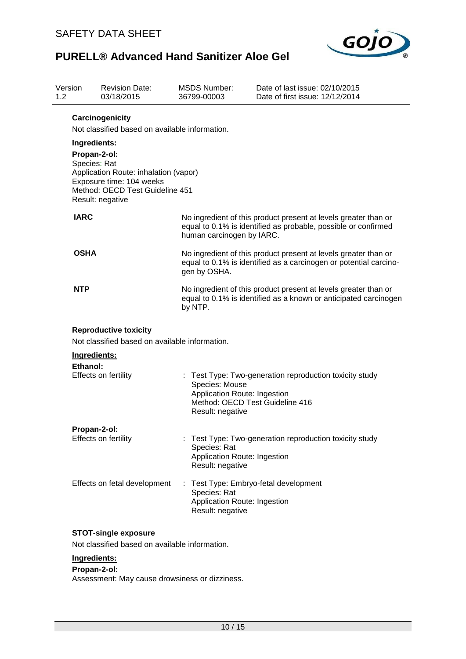

| Version<br>1.2 | <b>Revision Date:</b><br>03/18/2015                                                                                                                                      | <b>MSDS Number:</b><br>36799-00003    | Date of last issue: 02/10/2015<br>Date of first issue: 12/12/2014                                                                                                                                                                                                                      |  |  |  |  |  |
|----------------|--------------------------------------------------------------------------------------------------------------------------------------------------------------------------|---------------------------------------|----------------------------------------------------------------------------------------------------------------------------------------------------------------------------------------------------------------------------------------------------------------------------------------|--|--|--|--|--|
|                | Carcinogenicity<br>Not classified based on available information.                                                                                                        |                                       |                                                                                                                                                                                                                                                                                        |  |  |  |  |  |
|                | Ingredients:<br>Propan-2-ol:<br>Species: Rat<br>Application Route: inhalation (vapor)<br>Exposure time: 104 weeks<br>Method: OECD Test Guideline 451<br>Result: negative |                                       |                                                                                                                                                                                                                                                                                        |  |  |  |  |  |
| <b>IARC</b>    |                                                                                                                                                                          | human carcinogen by IARC.             | No ingredient of this product present at levels greater than or<br>equal to 0.1% is identified as probable, possible or confirmed                                                                                                                                                      |  |  |  |  |  |
| <b>OSHA</b>    |                                                                                                                                                                          | gen by OSHA.                          | No ingredient of this product present at levels greater than or<br>equal to 0.1% is identified as a carcinogen or potential carcino-<br>No ingredient of this product present at levels greater than or<br>equal to 0.1% is identified as a known or anticipated carcinogen<br>by NTP. |  |  |  |  |  |
| NTP            |                                                                                                                                                                          |                                       |                                                                                                                                                                                                                                                                                        |  |  |  |  |  |
|                | <b>Reproductive toxicity</b><br>Not classified based on available information.                                                                                           |                                       |                                                                                                                                                                                                                                                                                        |  |  |  |  |  |
|                | Ingredients:                                                                                                                                                             |                                       |                                                                                                                                                                                                                                                                                        |  |  |  |  |  |
| Ethanol:       | Effects on fertility                                                                                                                                                     | Species: Mouse<br>Result: negative    | Test Type: Two-generation reproduction toxicity study<br>Application Route: Ingestion<br>Method: OECD Test Guideline 416                                                                                                                                                               |  |  |  |  |  |
|                | Propan-2-ol:                                                                                                                                                             |                                       |                                                                                                                                                                                                                                                                                        |  |  |  |  |  |
|                | Effects on fertility                                                                                                                                                     | Species: Rat<br>Result: negative      | Test Type: Two-generation reproduction toxicity study<br>Application Route: Ingestion                                                                                                                                                                                                  |  |  |  |  |  |
|                | Effects on fetal development                                                                                                                                             | ÷<br>Species: Rat<br>Result: negative | Test Type: Embryo-fetal development<br>Application Route: Ingestion                                                                                                                                                                                                                    |  |  |  |  |  |
|                | <b>STOT-single exposure</b>                                                                                                                                              |                                       |                                                                                                                                                                                                                                                                                        |  |  |  |  |  |
|                | Not classified based on available information.                                                                                                                           |                                       |                                                                                                                                                                                                                                                                                        |  |  |  |  |  |
|                | Ingredients:                                                                                                                                                             |                                       |                                                                                                                                                                                                                                                                                        |  |  |  |  |  |

### **Propan-2-ol:**

Assessment: May cause drowsiness or dizziness.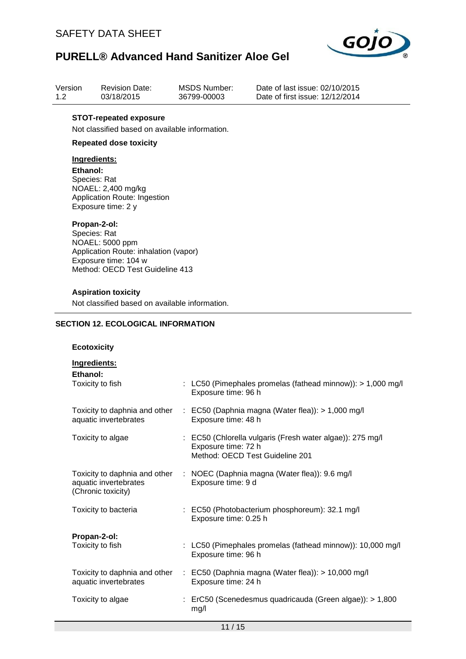

| Version | <b>Revision Date:</b> | MSDS Number: |
|---------|-----------------------|--------------|
| 1.2     | 03/18/2015            | 36799-00003  |

Date of last issue: 02/10/2015 Date of first issue: 12/12/2014

### **STOT-repeated exposure**

Not classified based on available information.

## **Repeated dose toxicity**

## **Ingredients:**

**Ethanol:** Species: Rat NOAEL: 2,400 mg/kg Application Route: Ingestion Exposure time: 2 y

#### **Propan-2-ol:**

Species: Rat NOAEL: 5000 ppm Application Route: inhalation (vapor) Exposure time: 104 w Method: OECD Test Guideline 413

#### **Aspiration toxicity**

Not classified based on available information.

### **SECTION 12. ECOLOGICAL INFORMATION**

### **Ecotoxicity**

| Ingredients:<br>Ethanol:                               |                                                                                                                     |
|--------------------------------------------------------|---------------------------------------------------------------------------------------------------------------------|
| Toxicity to fish                                       | : LC50 (Pimephales promelas (fathead minnow)): > 1,000 mg/l<br>Exposure time: 96 h                                  |
| Toxicity to daphnia and other<br>aquatic invertebrates | $\therefore$ EC50 (Daphnia magna (Water flea)): > 1,000 mg/l<br>Exposure time: 48 h                                 |
| Toxicity to algae                                      | : EC50 (Chlorella vulgaris (Fresh water algae)): 275 mg/l<br>Exposure time: 72 h<br>Method: OECD Test Guideline 201 |
| aquatic invertebrates<br>(Chronic toxicity)            | Toxicity to daphnia and other : NOEC (Daphnia magna (Water flea)): 9.6 mg/l<br>Exposure time: 9 d                   |
| Toxicity to bacteria                                   | : EC50 (Photobacterium phosphoreum): 32.1 mg/l<br>Exposure time: 0.25 h                                             |
| Propan-2-ol:<br>Toxicity to fish                       | : LC50 (Pimephales promelas (fathead minnow)): 10,000 mg/l<br>Exposure time: 96 h                                   |
| aquatic invertebrates                                  | Toxicity to daphnia and other : EC50 (Daphnia magna (Water flea)): > 10,000 mg/l<br>Exposure time: 24 h             |
| Toxicity to algae                                      | : ErC50 (Scenedesmus quadricauda (Green algae)): > 1,800<br>mg/l                                                    |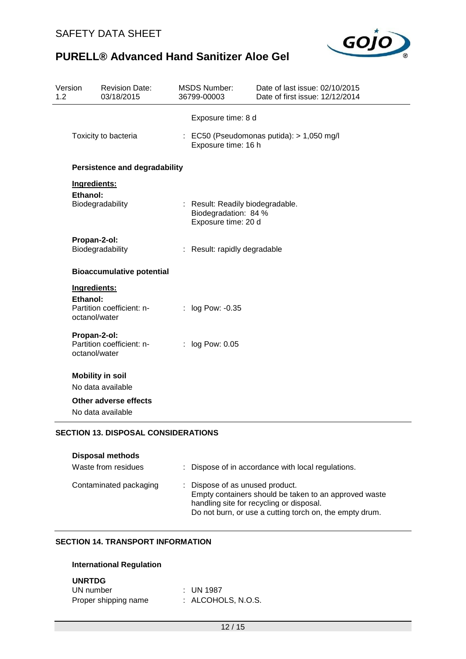

| Version<br>1.2 |                                      | <b>Revision Date:</b><br>03/18/2015        |  | <b>MSDS Number:</b><br>36799-00003                                              | Date of last issue: 02/10/2015<br>Date of first issue: 12/12/2014 |  |  |  |  |
|----------------|--------------------------------------|--------------------------------------------|--|---------------------------------------------------------------------------------|-------------------------------------------------------------------|--|--|--|--|
|                |                                      |                                            |  | Exposure time: 8 d                                                              |                                                                   |  |  |  |  |
|                |                                      | Toxicity to bacteria                       |  | : EC50 (Pseudomonas putida): > 1,050 mg/l<br>Exposure time: 16 h                |                                                                   |  |  |  |  |
|                | <b>Persistence and degradability</b> |                                            |  |                                                                                 |                                                                   |  |  |  |  |
|                | Ingredients:                         |                                            |  |                                                                                 |                                                                   |  |  |  |  |
|                | Ethanol:                             | Biodegradability                           |  | : Result: Readily biodegradable.<br>Biodegradation: 84 %<br>Exposure time: 20 d |                                                                   |  |  |  |  |
|                | Propan-2-ol:                         | Biodegradability                           |  | : Result: rapidly degradable                                                    |                                                                   |  |  |  |  |
|                |                                      | <b>Bioaccumulative potential</b>           |  |                                                                                 |                                                                   |  |  |  |  |
|                | Ingredients:<br>Ethanol:             | Partition coefficient: n-                  |  | : log Pow: -0.35                                                                |                                                                   |  |  |  |  |
|                | octanol/water                        |                                            |  |                                                                                 |                                                                   |  |  |  |  |
|                | Propan-2-ol:<br>octanol/water        | Partition coefficient: n-                  |  | : log Pow: 0.05                                                                 |                                                                   |  |  |  |  |
|                |                                      | <b>Mobility in soil</b>                    |  |                                                                                 |                                                                   |  |  |  |  |
|                |                                      | No data available                          |  |                                                                                 |                                                                   |  |  |  |  |
|                |                                      | Other adverse effects<br>No data available |  |                                                                                 |                                                                   |  |  |  |  |
|                |                                      | <b>SECTION 13. DISPOSAL CONSIDERATIONS</b> |  |                                                                                 |                                                                   |  |  |  |  |

| <b>Disposal methods</b><br>Waste from residues | : Dispose of in accordance with local regulations.                                                                                                                                              |
|------------------------------------------------|-------------------------------------------------------------------------------------------------------------------------------------------------------------------------------------------------|
| Contaminated packaging                         | : Dispose of as unused product.<br>Empty containers should be taken to an approved waste<br>handling site for recycling or disposal.<br>Do not burn, or use a cutting torch on, the empty drum. |

# **SECTION 14. TRANSPORT INFORMATION**

## **International Regulation**

### **UNRTDG**

| UN number            | : UN 1987          |
|----------------------|--------------------|
| Proper shipping name | : ALCOHOLS, N.O.S. |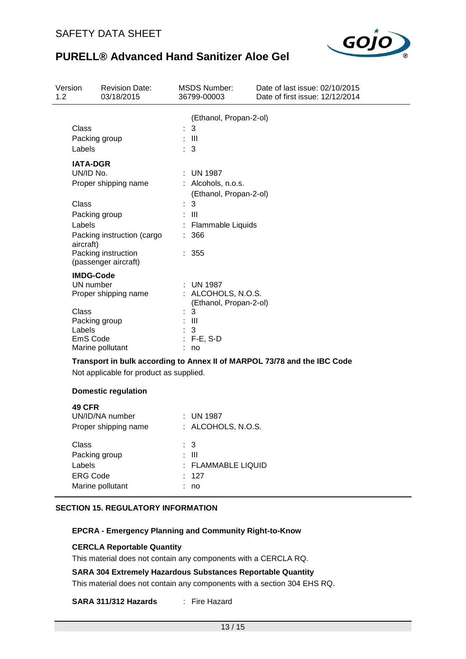

| Version<br>1.2 |                                                                                      | <b>Revision Date:</b><br>03/18/2015                         | MSDS Number:<br>36799-00003                                                                             | Date of last issue: 02/10/2015<br>Date of first issue: 12/12/2014        |
|----------------|--------------------------------------------------------------------------------------|-------------------------------------------------------------|---------------------------------------------------------------------------------------------------------|--------------------------------------------------------------------------|
|                | Class<br>Packing group<br>Labels                                                     |                                                             | (Ethanol, Propan-2-ol)<br>3<br>$\pm$ 111<br>$\therefore$ 3                                              |                                                                          |
|                | <b>IATA-DGR</b><br>UN/ID No.                                                         | Proper shipping name                                        | $:$ UN 1987<br>: Alcohols, n.o.s.<br>(Ethanol, Propan-2-ol)                                             |                                                                          |
|                | <b>Class</b><br>Packing group<br>Labels<br>aircraft)                                 | Packing instruction (cargo<br>Packing instruction           | 3<br>: III<br><b>Flammable Liquids</b><br>: 366<br>: 355                                                |                                                                          |
|                | <b>IMDG-Code</b><br>UN number<br><b>Class</b><br>Packing group<br>Labels<br>EmS Code | (passenger aircraft)<br>Proper shipping name                | : UN 1987<br>: ALCOHOLS, N.O.S.<br>(Ethanol, Propan-2-ol)<br>3<br>$\therefore$ III<br>3<br>$: F-E, S-D$ |                                                                          |
|                |                                                                                      | Marine pollutant<br>Not applicable for product as supplied. | no                                                                                                      | Transport in bulk according to Annex II of MARPOL 73/78 and the IBC Code |
|                |                                                                                      | <b>Domestic regulation</b>                                  |                                                                                                         |                                                                          |
|                | <b>49 CFR</b>                                                                        | $IIN/IN/N1$ number                                          | $\cdot$ TIN 1097                                                                                        |                                                                          |

| UN/ID/NA number      | $:$ UN 1987        |
|----------------------|--------------------|
| Proper shipping name | : ALCOHOLS, N.O.S. |
| Class                | : 3                |
| Packing group        | : III              |
| Labels               | : FLAMMABLE LIQUID |
| <b>ERG Code</b>      | : 127              |
| Marine pollutant     | no                 |

### **SECTION 15. REGULATORY INFORMATION**

### **EPCRA - Emergency Planning and Community Right-to-Know**

### **CERCLA Reportable Quantity**

This material does not contain any components with a CERCLA RQ.

### **SARA 304 Extremely Hazardous Substances Reportable Quantity**

This material does not contain any components with a section 304 EHS RQ.

### **SARA 311/312 Hazards** : Fire Hazard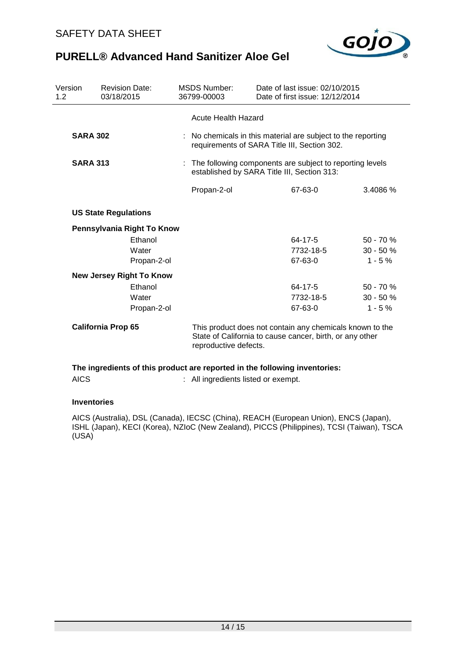

| Version<br>1.2  | <b>Revision Date:</b><br>03/18/2015 |  | <b>MSDS Number:</b><br>36799-00003                                                                                                            | Date of last issue: 02/10/2015<br>Date of first issue: 12/12/2014                                            |            |  |
|-----------------|-------------------------------------|--|-----------------------------------------------------------------------------------------------------------------------------------------------|--------------------------------------------------------------------------------------------------------------|------------|--|
|                 |                                     |  | <b>Acute Health Hazard</b>                                                                                                                    |                                                                                                              |            |  |
| <b>SARA 302</b> |                                     |  |                                                                                                                                               | : No chemicals in this material are subject to the reporting<br>requirements of SARA Title III, Section 302. |            |  |
| <b>SARA 313</b> |                                     |  | : The following components are subject to reporting levels<br>established by SARA Title III, Section 313:                                     |                                                                                                              |            |  |
|                 |                                     |  | Propan-2-ol                                                                                                                                   | 67-63-0                                                                                                      | 3.4086%    |  |
|                 | <b>US State Regulations</b>         |  |                                                                                                                                               |                                                                                                              |            |  |
|                 | Pennsylvania Right To Know          |  |                                                                                                                                               |                                                                                                              |            |  |
|                 | Ethanol                             |  |                                                                                                                                               | 64-17-5                                                                                                      | $50 - 70%$ |  |
|                 | Water                               |  |                                                                                                                                               | 7732-18-5                                                                                                    | $30 - 50%$ |  |
|                 | Propan-2-ol                         |  |                                                                                                                                               | 67-63-0                                                                                                      | $1 - 5%$   |  |
|                 | <b>New Jersey Right To Know</b>     |  |                                                                                                                                               |                                                                                                              |            |  |
|                 | Ethanol                             |  |                                                                                                                                               | $64 - 17 - 5$                                                                                                | $50 - 70%$ |  |
|                 | Water                               |  |                                                                                                                                               | 7732-18-5                                                                                                    | $30 - 50%$ |  |
|                 | Propan-2-ol                         |  |                                                                                                                                               | 67-63-0                                                                                                      | $1 - 5%$   |  |
|                 | <b>California Prop 65</b>           |  | This product does not contain any chemicals known to the<br>State of California to cause cancer, birth, or any other<br>reproductive defects. |                                                                                                              |            |  |
|                 |                                     |  |                                                                                                                                               | The ingredients of this product are reported in the following inventories:                                   |            |  |

AICS : All ingredients listed or exempt.

## **Inventories**

AICS (Australia), DSL (Canada), IECSC (China), REACH (European Union), ENCS (Japan), ISHL (Japan), KECI (Korea), NZIoC (New Zealand), PICCS (Philippines), TCSI (Taiwan), TSCA (USA)